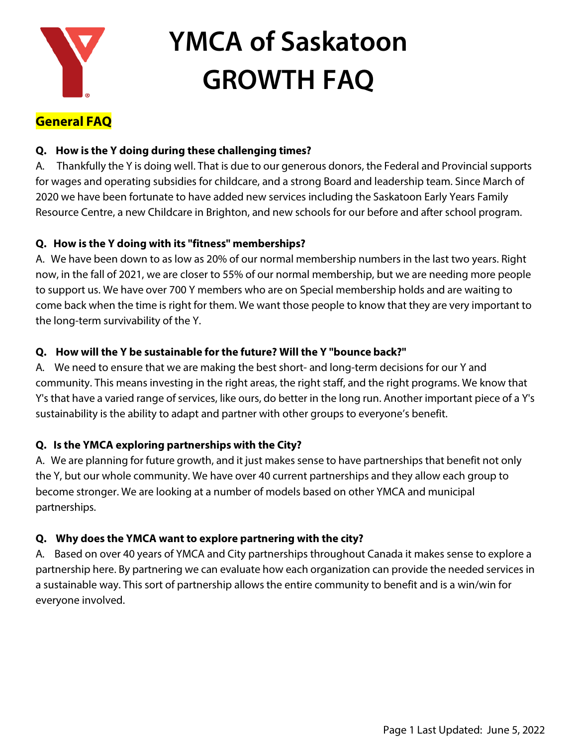

# **General FAQ**

#### **Q. How is the Y doing during these challenging times?**

A. Thankfully the Y is doing well. That is due to our generous donors, the Federal and Provincial supports for wages and operating subsidies for childcare, and a strong Board and leadership team. Since March of 2020 we have been fortunate to have added new services including the Saskatoon Early Years Family Resource Centre, a new Childcare in Brighton, and new schools for our before and after school program.

#### **Q. How is the Y doing with its "fitness" memberships?**

A. We have been down to as low as 20% of our normal membership numbers in the last two years. Right now, in the fall of 2021, we are closer to 55% of our normal membership, but we are needing more people to support us. We have over 700 Y members who are on Special membership holds and are waiting to come back when the time is right for them. We want those people to know that they are very important to the long-term survivability of the Y.

### **Q. How will the Y be sustainable for the future? Will the Y "bounce back?"**

A. We need to ensure that we are making the best short- and long-term decisions for our Y and community. This means investing in the right areas, the right staff, and the right programs. We know that Y's that have a varied range of services, like ours, do better in the long run. Another important piece of a Y's sustainability is the ability to adapt and partner with other groups to everyone's benefit.

## **Q. Is the YMCA exploring partnerships with the City?**

A. We are planning for future growth, and it just makes sense to have partnerships that benefit not only the Y, but our whole community. We have over 40 current partnerships and they allow each group to become stronger. We are looking at a number of models based on other YMCA and municipal partnerships.

#### **Q. Why does the YMCA want to explore partnering with the city?**

A. Based on over 40 years of YMCA and City partnerships throughout Canada it makes sense to explore a partnership here. By partnering we can evaluate how each organization can provide the needed services in a sustainable way. This sort of partnership allows the entire community to benefit and is a win/win for everyone involved.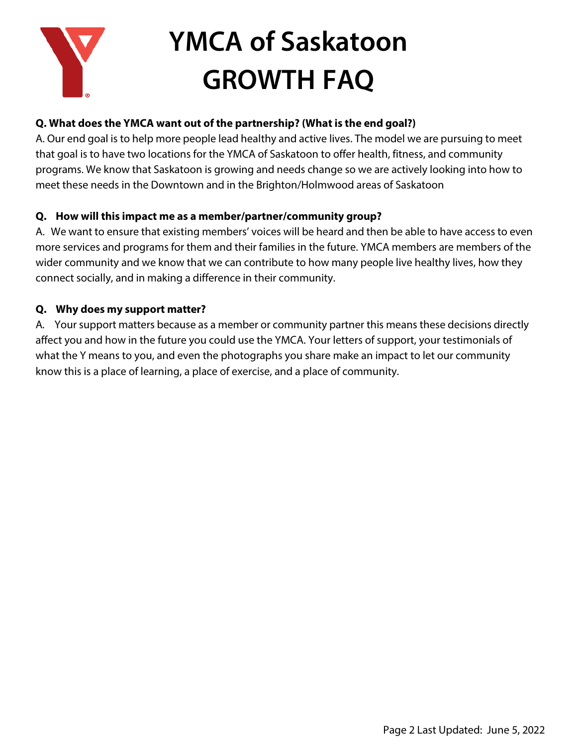

### **Q. What does the YMCA want out of the partnership? (What is the end goal?)**

A. Our end goal is to help more people lead healthy and active lives. The model we are pursuing to meet that goal is to have two locations for the YMCA of Saskatoon to offer health, fitness, and community programs. We know that Saskatoon is growing and needs change so we are actively looking into how to meet these needs in the Downtown and in the Brighton/Holmwood areas of Saskatoon

#### **Q. How will this impact me as a member/partner/community group?**

A. We want to ensure that existing members' voices will be heard and then be able to have access to even more services and programs for them and their families in the future. YMCA members are members of the wider community and we know that we can contribute to how many people live healthy lives, how they connect socially, and in making a difference in their community.

#### **Q. Why does my support matter?**

A. Your support matters because as a member or community partner this means these decisions directly affect you and how in the future you could use the YMCA. Your letters of support, your testimonials of what the Y means to you, and even the photographs you share make an impact to let our community know this is a place of learning, a place of exercise, and a place of community.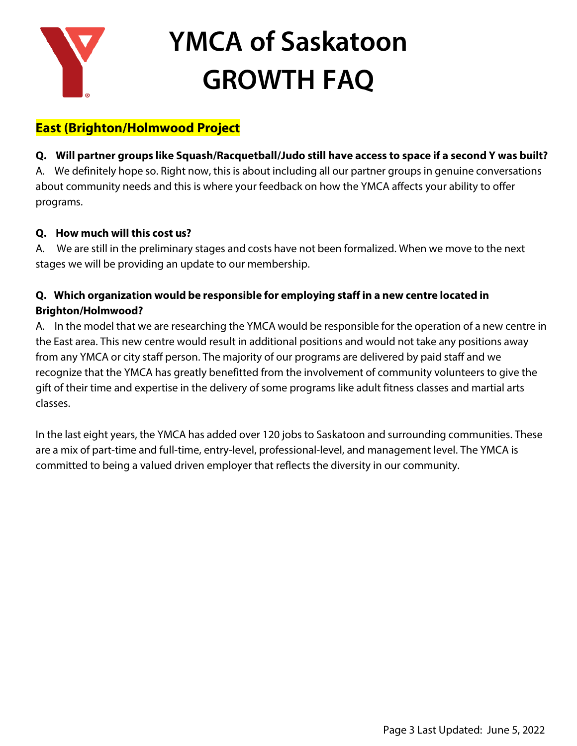

# **East (Brighton/Holmwood Project**

**Q. Will partner groups like Squash/Racquetball/Judo still have access to space if a second Y was built?** A. We definitely hope so. Right now, this is about including all our partner groups in genuine conversations about community needs and this is where your feedback on how the YMCA affects your ability to offer programs.

### **Q. How much will this cost us?**

A. We are still in the preliminary stages and costs have not been formalized. When we move to the next stages we will be providing an update to our membership.

## **Q. Which organization would be responsible for employing staff in a new centre located in Brighton/Holmwood?**

A. In the model that we are researching the YMCA would be responsible for the operation of a new centre in the East area. This new centre would result in additional positions and would not take any positions away from any YMCA or city staff person. The majority of our programs are delivered by paid staff and we recognize that the YMCA has greatly benefitted from the involvement of community volunteers to give the gift of their time and expertise in the delivery of some programs like adult fitness classes and martial arts classes.

In the last eight years, the YMCA has added over 120 jobs to Saskatoon and surrounding communities. These are a mix of part-time and full-time, entry-level, professional-level, and management level. The YMCA is committed to being a valued driven employer that reflects the diversity in our community.